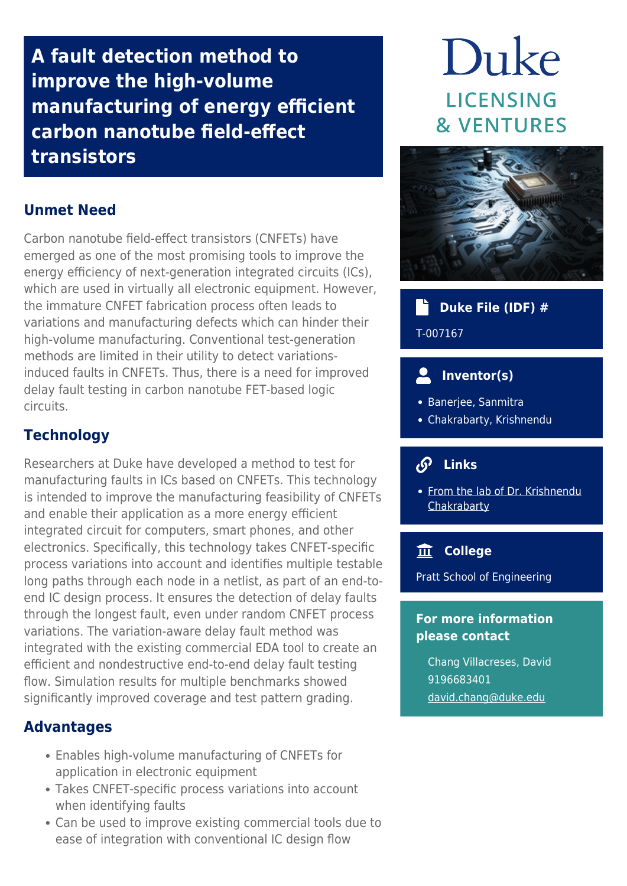**A fault detection method to improve the high-volume manufacturing of energy efficient carbon nanotube field-effect transistors**

# **Unmet Need**

Carbon nanotube field-effect transistors (CNFETs) have emerged as one of the most promising tools to improve the energy efficiency of next-generation integrated circuits (ICs), which are used in virtually all electronic equipment. However, the immature CNFET fabrication process often leads to variations and manufacturing defects which can hinder their high-volume manufacturing. Conventional test-generation methods are limited in their utility to detect variationsinduced faults in CNFETs. Thus, there is a need for improved delay fault testing in carbon nanotube FET-based logic circuits.

## **Technology**

Researchers at Duke have developed a method to test for manufacturing faults in ICs based on CNFETs. This technology is intended to improve the manufacturing feasibility of CNFETs and enable their application as a more energy efficient integrated circuit for computers, smart phones, and other electronics. Specifically, this technology takes CNFET-specific process variations into account and identifies multiple testable long paths through each node in a netlist, as part of an end-toend IC design process. It ensures the detection of delay faults through the longest fault, even under random CNFET process variations. The variation-aware delay fault method was integrated with the existing commercial EDA tool to create an efficient and nondestructive end-to-end delay fault testing flow. Simulation results for multiple benchmarks showed significantly improved coverage and test pattern grading.

### **Advantages**

- Enables high-volume manufacturing of CNFETs for application in electronic equipment
- Takes CNFET-specific process variations into account when identifying faults
- Can be used to improve existing commercial tools due to ease of integration with conventional IC design flow

# Duke **LICENSING & VENTURES**



# **Duke File (IDF) #**

T-007167

# **Inventor(s)**

- Banerjee, Sanmitra
- Chakrabarty, Krishnendu

#### $\mathcal{S}$  **Links**

• [From the lab of Dr. Krishnendu](http://people.ee.duke.edu/~krish/) **[Chakrabarty](http://people.ee.duke.edu/~krish/)** 

### **College**

Pratt School of Engineering

#### **For more information please contact**

Chang Villacreses, David 9196683401 [david.chang@duke.edu](mailto:david.chang@duke.edu)